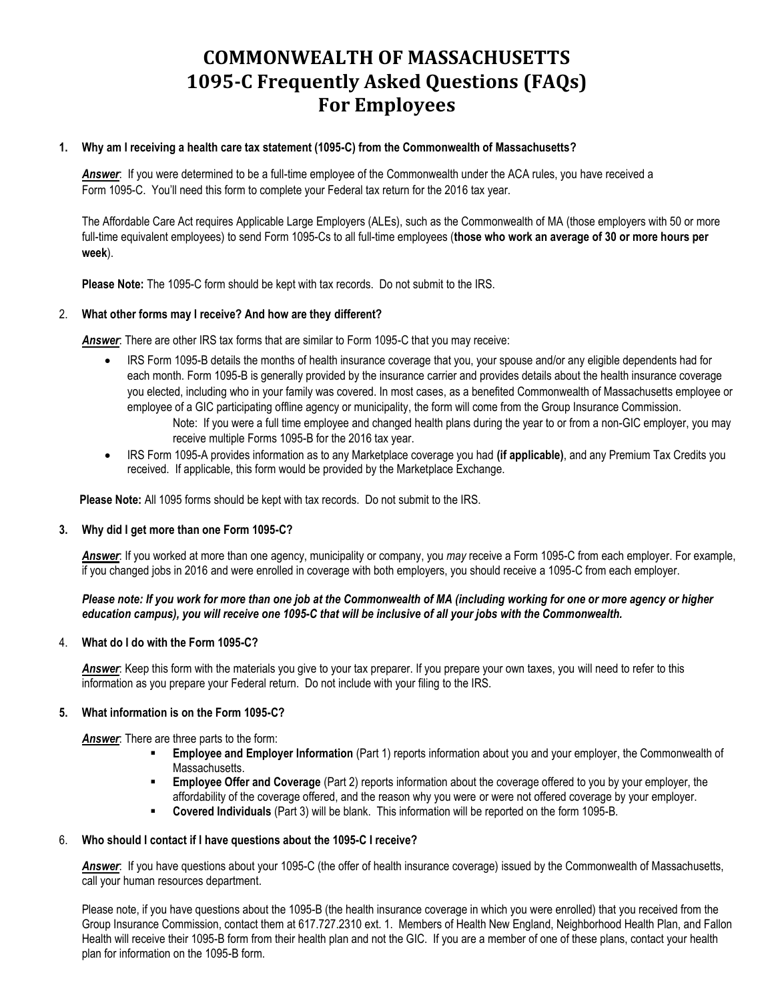# **COMMONWEALTH OF MASSACHUSETTS 1095-C Frequently Asked Questions (FAQs) For Employees**

### **1. Why am I receiving a health care tax statement (1095-C) from the Commonwealth of Massachusetts?**

*Answer*: If you were determined to be a full-time employee of the Commonwealth under the ACA rules, you have received a Form 1095-C. You'll need this form to complete your Federal tax return for the 2016 tax year.

The Affordable Care Act requires Applicable Large Employers (ALEs), such as the Commonwealth of MA (those employers with 50 or more full-time equivalent employees) to send Form 1095-Cs to all full-time employees (**those who work an average of 30 or more hours per week**).

**Please Note:** The 1095-C form should be kept with tax records. Do not submit to the IRS.

## 2. **What other forms may I receive? And how are they different?**

*Answer*: There are other IRS tax forms that are similar to Form 1095-C that you may receive:

- IRS Form 1095-B details the months of health insurance coverage that you, your spouse and/or any eligible dependents had for each month. Form 1095-B is generally provided by the insurance carrier and provides details about the health insurance coverage you elected, including who in your family was covered. In most cases, as a benefited Commonwealth of Massachusetts employee or employee of a GIC participating offline agency or municipality, the form will come from the Group Insurance Commission.
	- Note: If you were a full time employee and changed health plans during the year to or from a non-GIC employer, you may receive multiple Forms 1095-B for the 2016 tax year.
- IRS Form 1095-A provides information as to any Marketplace coverage you had **(if applicable)**, and any Premium Tax Credits you received. If applicable, this form would be provided by the Marketplace Exchange.

 **Please Note:** All 1095 forms should be kept with tax records. Do not submit to the IRS.

#### **3. Why did I get more than one Form 1095-C?**

*Answer*: If you worked at more than one agency, municipality or company, you *may* receive a Form 1095-C from each employer. For example, if you changed jobs in 2016 and were enrolled in coverage with both employers, you should receive a 1095-C from each employer.

#### *Please note: If you work for more than one job at the Commonwealth of MA (including working for one or more agency or higher*  education campus), you will receive one 1095-C that will be inclusive of all your jobs with the Commonwealth.

#### 4. **What do I do with the Form 1095-C?**

*Answer*: Keep this form with the materials you give to your tax preparer. If you prepare your own taxes, you will need to refer to this information as you prepare your Federal return. Do not include with your filing to the IRS.

#### **5. What information is on the Form 1095-C?**

**Answer**: There are three parts to the form:

- **Employee and Employer Information** (Part 1) reports information about you and your employer, the Commonwealth of Massachusetts.
- **Employee Offer and Coverage** (Part 2) reports information about the coverage offered to you by your employer, the affordability of the coverage offered, and the reason why you were or were not offered coverage by your employer.
- **Covered Individuals** (Part 3) will be blank. This information will be reported on the form 1095-B.

#### 6. **Who should I contact if I have questions about the 1095-C I receive?**

*Answer*: If you have questions about your 1095-C (the offer of health insurance coverage) issued by the Commonwealth of Massachusetts, call your human resources department.

Please note, if you have questions about the 1095-B (the health insurance coverage in which you were enrolled) that you received from the Group Insurance Commission, contact them at 617.727.2310 ext. 1. Members of Health New England, Neighborhood Health Plan, and Fallon Health will receive their 1095-B form from their health plan and not the GIC. If you are a member of one of these plans, contact your health plan for information on the 1095-B form.